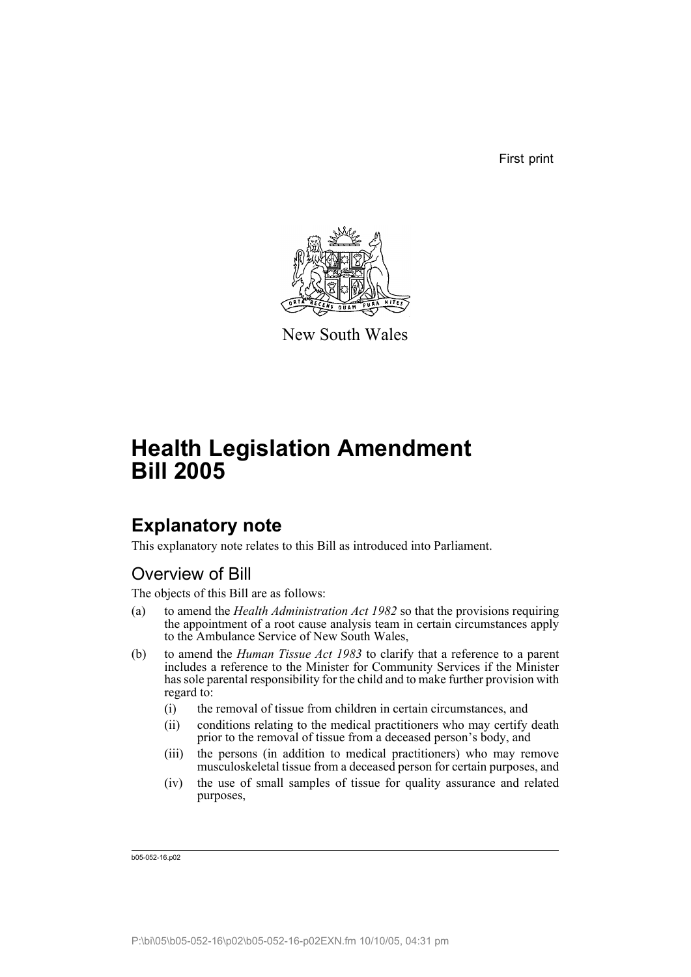First print



New South Wales

# **Health Legislation Amendment Bill 2005**

## **Explanatory note**

This explanatory note relates to this Bill as introduced into Parliament.

## Overview of Bill

The objects of this Bill are as follows:

- (a) to amend the *Health Administration Act 1982* so that the provisions requiring the appointment of a root cause analysis team in certain circumstances apply to the Ambulance Service of New South Wales,
- (b) to amend the *Human Tissue Act 1983* to clarify that a reference to a parent includes a reference to the Minister for Community Services if the Minister has sole parental responsibility for the child and to make further provision with regard to:
	- (i) the removal of tissue from children in certain circumstances, and
	- (ii) conditions relating to the medical practitioners who may certify death prior to the removal of tissue from a deceased person's body, and
	- (iii) the persons (in addition to medical practitioners) who may remove musculoskeletal tissue from a deceased person for certain purposes, and
	- (iv) the use of small samples of tissue for quality assurance and related purposes,

b05-052-16.p02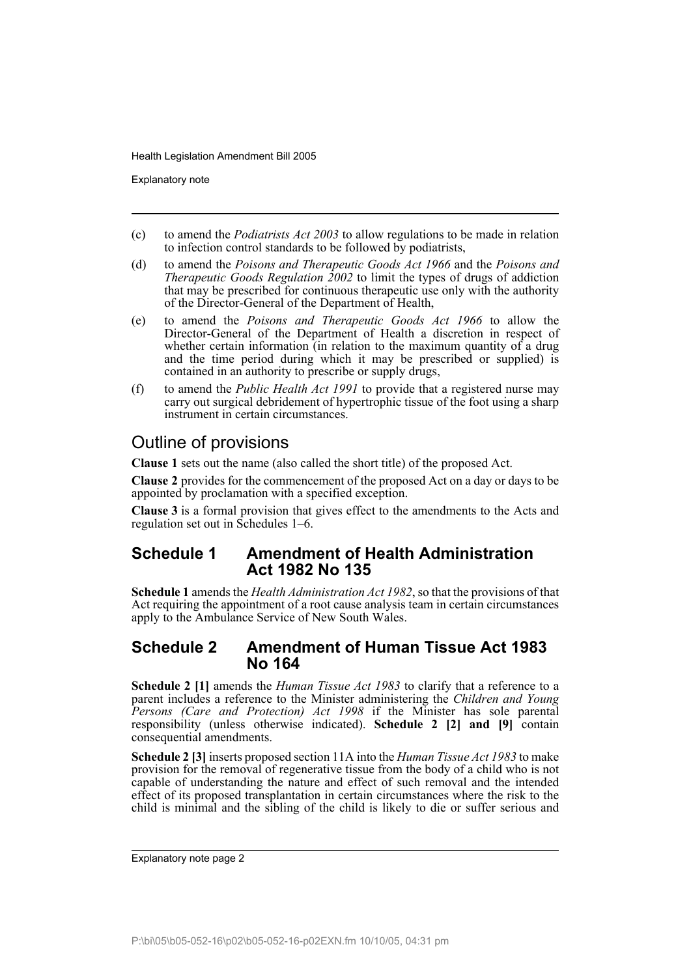Explanatory note

- (c) to amend the *Podiatrists Act 2003* to allow regulations to be made in relation to infection control standards to be followed by podiatrists,
- (d) to amend the *Poisons and Therapeutic Goods Act 1966* and the *Poisons and Therapeutic Goods Regulation 2002* to limit the types of drugs of addiction that may be prescribed for continuous therapeutic use only with the authority of the Director-General of the Department of Health,
- (e) to amend the *Poisons and Therapeutic Goods Act 1966* to allow the Director-General of the Department of Health a discretion in respect of whether certain information (in relation to the maximum quantity of a drug and the time period during which it may be prescribed or supplied) is contained in an authority to prescribe or supply drugs,
- (f) to amend the *Public Health Act 1991* to provide that a registered nurse may carry out surgical debridement of hypertrophic tissue of the foot using a sharp instrument in certain circumstances.

## Outline of provisions

**Clause 1** sets out the name (also called the short title) of the proposed Act.

**Clause 2** provides for the commencement of the proposed Act on a day or days to be appointed by proclamation with a specified exception.

**Clause 3** is a formal provision that gives effect to the amendments to the Acts and regulation set out in Schedules 1–6.

## **Schedule 1 Amendment of Health Administration Act 1982 No 135**

**Schedule 1** amends the *Health Administration Act 1982*, so that the provisions of that Act requiring the appointment of a root cause analysis team in certain circumstances apply to the Ambulance Service of New South Wales.

### **Schedule 2 Amendment of Human Tissue Act 1983 No 164**

**Schedule 2 [1]** amends the *Human Tissue Act 1983* to clarify that a reference to a parent includes a reference to the Minister administering the *Children and Young Persons (Care and Protection) Act 1998* if the Minister has sole parental responsibility (unless otherwise indicated). **Schedule 2 [2] and [9]** contain consequential amendments.

**Schedule 2 [3]** inserts proposed section 11A into the *Human Tissue Act 1983* to make provision for the removal of regenerative tissue from the body of a child who is not capable of understanding the nature and effect of such removal and the intended effect of its proposed transplantation in certain circumstances where the risk to the child is minimal and the sibling of the child is likely to die or suffer serious and

Explanatory note page 2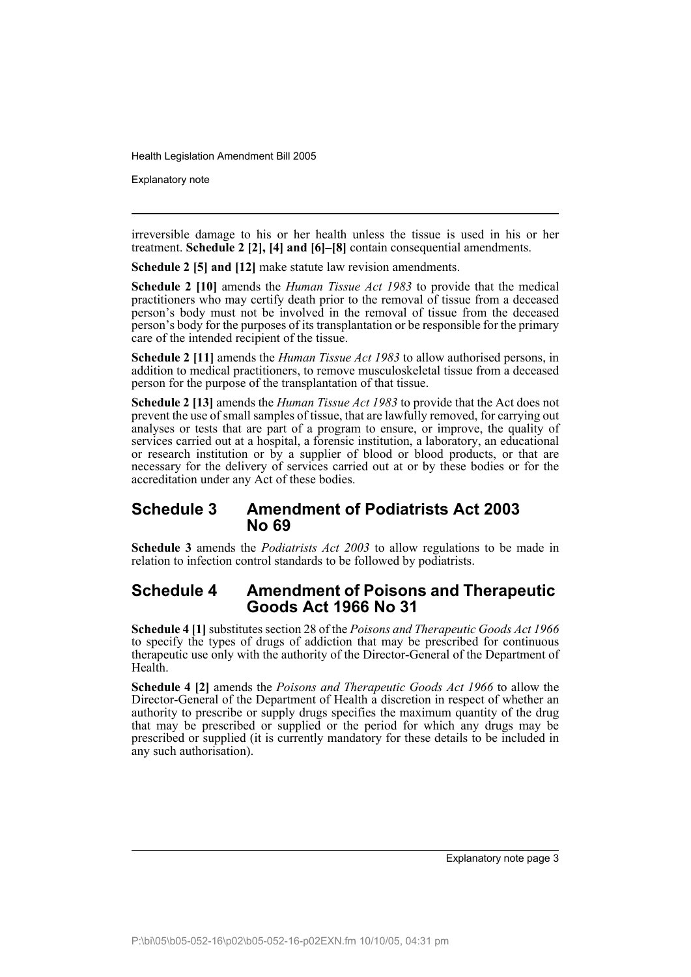Explanatory note

irreversible damage to his or her health unless the tissue is used in his or her treatment. **Schedule 2 [2], [4] and [6]–[8]** contain consequential amendments.

**Schedule 2 [5] and [12]** make statute law revision amendments.

**Schedule 2 [10]** amends the *Human Tissue Act 1983* to provide that the medical practitioners who may certify death prior to the removal of tissue from a deceased person's body must not be involved in the removal of tissue from the deceased person's body for the purposes of its transplantation or be responsible for the primary care of the intended recipient of the tissue.

**Schedule 2 [11]** amends the *Human Tissue Act 1983* to allow authorised persons, in addition to medical practitioners, to remove musculoskeletal tissue from a deceased person for the purpose of the transplantation of that tissue.

**Schedule 2 [13]** amends the *Human Tissue Act 1983* to provide that the Act does not prevent the use of small samples of tissue, that are lawfully removed, for carrying out analyses or tests that are part of a program to ensure, or improve, the quality of services carried out at a hospital, a forensic institution, a laboratory, an educational or research institution or by a supplier of blood or blood products, or that are necessary for the delivery of services carried out at or by these bodies or for the accreditation under any Act of these bodies.

### **Schedule 3 Amendment of Podiatrists Act 2003 No 69**

**Schedule 3** amends the *Podiatrists Act 2003* to allow regulations to be made in relation to infection control standards to be followed by podiatrists.

### **Schedule 4 Amendment of Poisons and Therapeutic Goods Act 1966 No 31**

**Schedule 4 [1]** substitutes section 28 of the *Poisons and Therapeutic Goods Act 1966* to specify the types of drugs of addiction that may be prescribed for continuous therapeutic use only with the authority of the Director-General of the Department of Health.

**Schedule 4 [2]** amends the *Poisons and Therapeutic Goods Act 1966* to allow the Director-General of the Department of Health a discretion in respect of whether an authority to prescribe or supply drugs specifies the maximum quantity of the drug that may be prescribed or supplied or the period for which any drugs may be prescribed or supplied (it is currently mandatory for these details to be included in any such authorisation).

Explanatory note page 3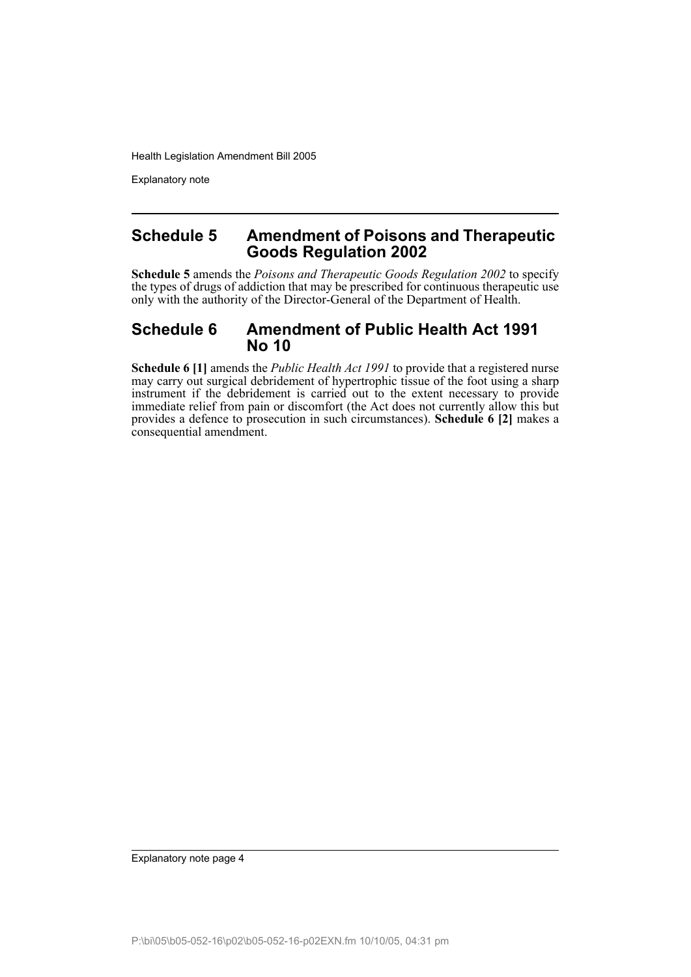Explanatory note

## **Schedule 5 Amendment of Poisons and Therapeutic Goods Regulation 2002**

**Schedule 5** amends the *Poisons and Therapeutic Goods Regulation 2002* to specify the types of drugs of addiction that may be prescribed for continuous therapeutic use only with the authority of the Director-General of the Department of Health.

## **Schedule 6 Amendment of Public Health Act 1991 No 10**

**Schedule 6 [1]** amends the *Public Health Act 1991* to provide that a registered nurse may carry out surgical debridement of hypertrophic tissue of the foot using a sharp instrument if the debridement is carried out to the extent necessary to provide immediate relief from pain or discomfort (the Act does not currently allow this but provides a defence to prosecution in such circumstances). **Schedule 6 [2]** makes a consequential amendment.

Explanatory note page 4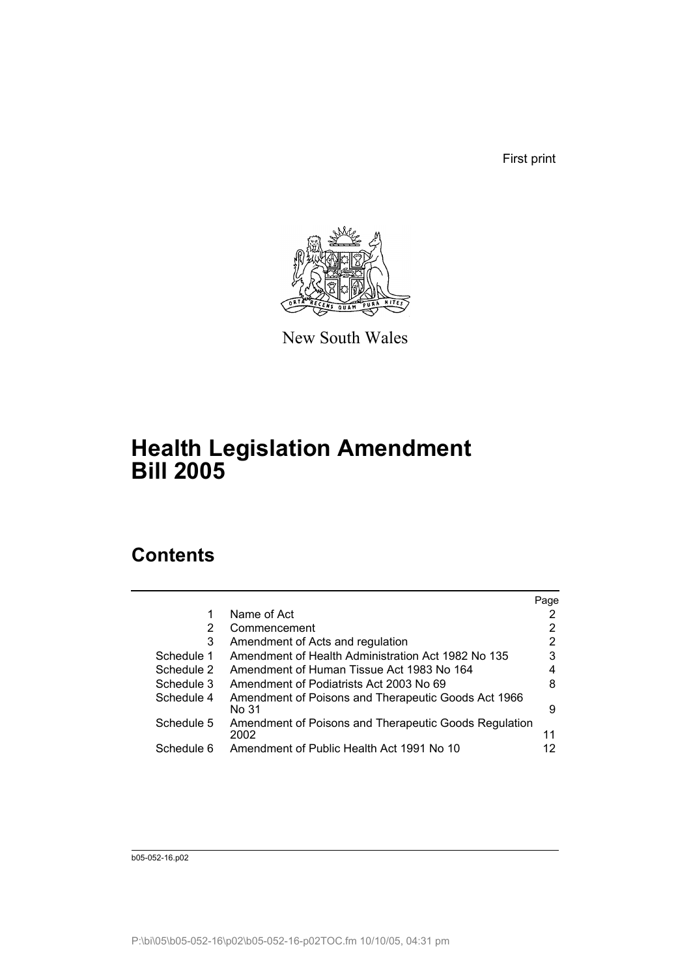First print



New South Wales

# **Health Legislation Amendment Bill 2005**

# **Contents**

|            |                                                               | Page |
|------------|---------------------------------------------------------------|------|
| 1          | Name of Act                                                   | 2    |
| 2          | Commencement                                                  | 2    |
| 3          | Amendment of Acts and regulation                              | 2    |
| Schedule 1 | Amendment of Health Administration Act 1982 No 135            | 3    |
| Schedule 2 | Amendment of Human Tissue Act 1983 No 164                     | 4    |
| Schedule 3 | Amendment of Podiatrists Act 2003 No 69                       | 8    |
| Schedule 4 | Amendment of Poisons and Therapeutic Goods Act 1966<br>No 31  | 9    |
| Schedule 5 | Amendment of Poisons and Therapeutic Goods Regulation<br>2002 | 11   |
| Schedule 6 | Amendment of Public Health Act 1991 No 10                     | 12   |
|            |                                                               |      |

b05-052-16.p02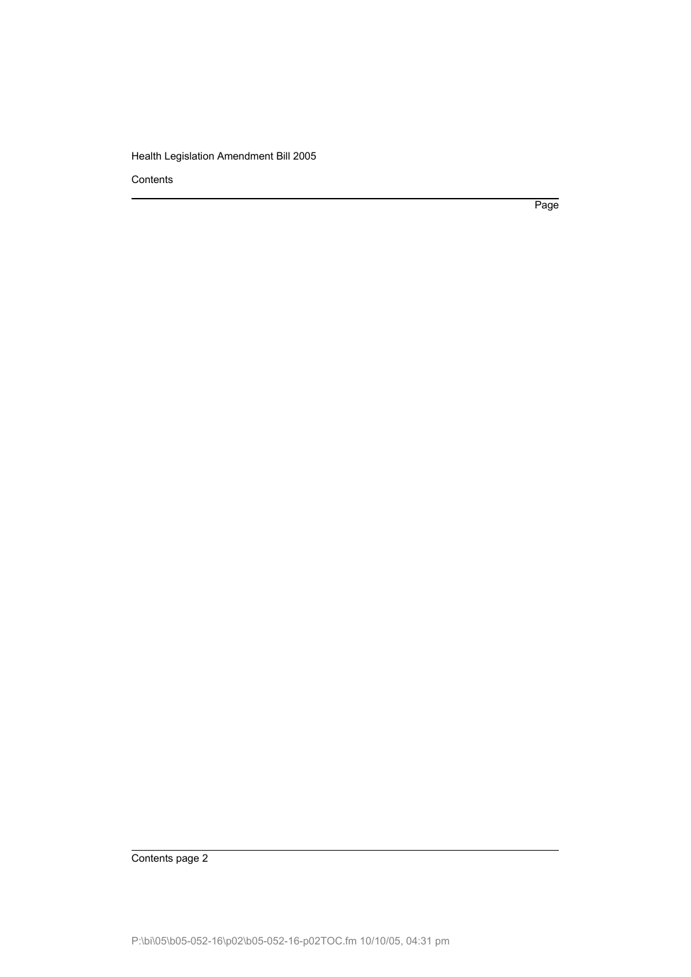Contents

Page

Contents page 2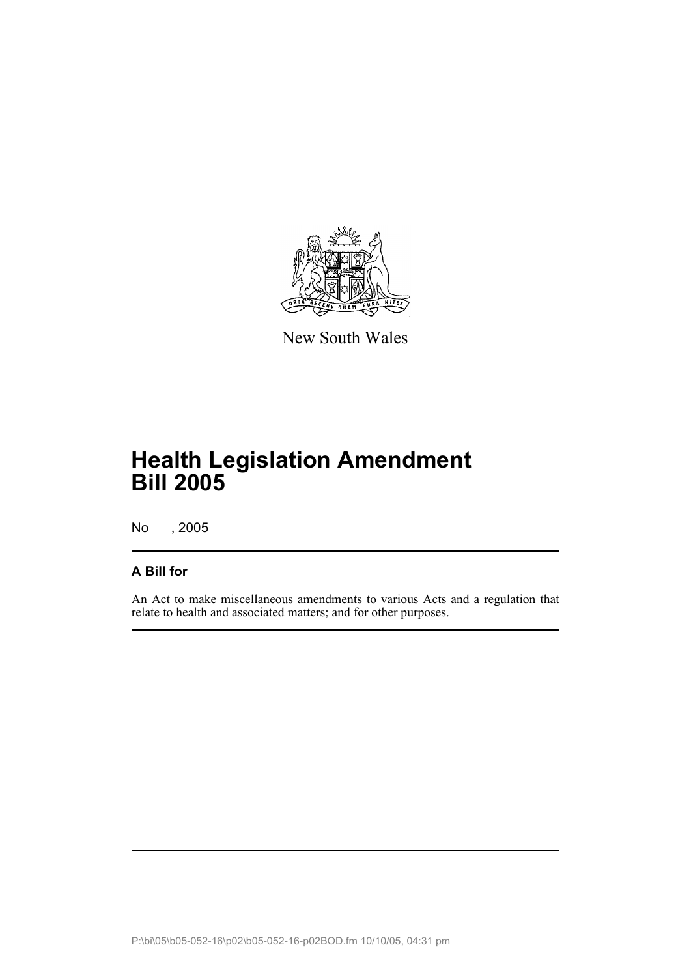

New South Wales

# **Health Legislation Amendment Bill 2005**

No , 2005

## **A Bill for**

An Act to make miscellaneous amendments to various Acts and a regulation that relate to health and associated matters; and for other purposes.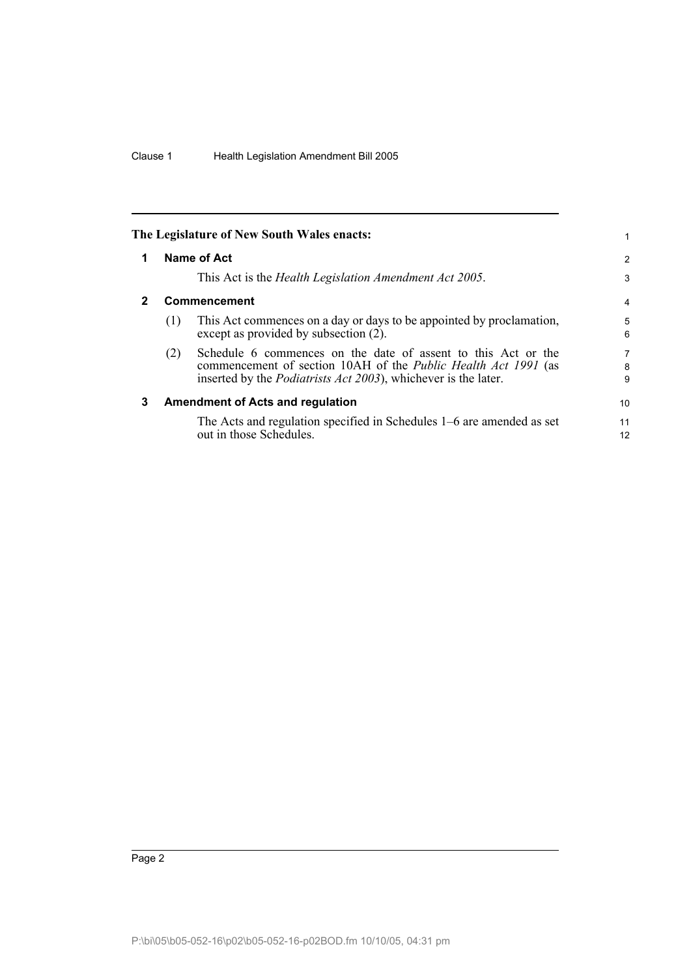|                  |                                         | The Legislature of New South Wales enacts:                                                                                                                                                                       |             |  |  |
|------------------|-----------------------------------------|------------------------------------------------------------------------------------------------------------------------------------------------------------------------------------------------------------------|-------------|--|--|
| Name of Act<br>1 |                                         |                                                                                                                                                                                                                  |             |  |  |
|                  |                                         | This Act is the <i>Health Legislation Amendment Act 2005</i> .                                                                                                                                                   | 3           |  |  |
| $\mathbf{2}$     |                                         | <b>Commencement</b>                                                                                                                                                                                              | 4           |  |  |
|                  | (1)                                     | This Act commences on a day or days to be appointed by proclamation,<br>except as provided by subsection (2).                                                                                                    | 5<br>6      |  |  |
|                  | (2)                                     | Schedule 6 commences on the date of assent to this Act or the<br>commencement of section 10AH of the <i>Public Health Act 1991</i> (as<br>inserted by the <i>Podiatrists Act 2003</i> ), whichever is the later. | 7<br>8<br>9 |  |  |
| 3                | <b>Amendment of Acts and regulation</b> |                                                                                                                                                                                                                  |             |  |  |
|                  |                                         | The Acts and regulation specified in Schedules 1–6 are amended as set<br>out in those Schedules.                                                                                                                 | 11<br>12    |  |  |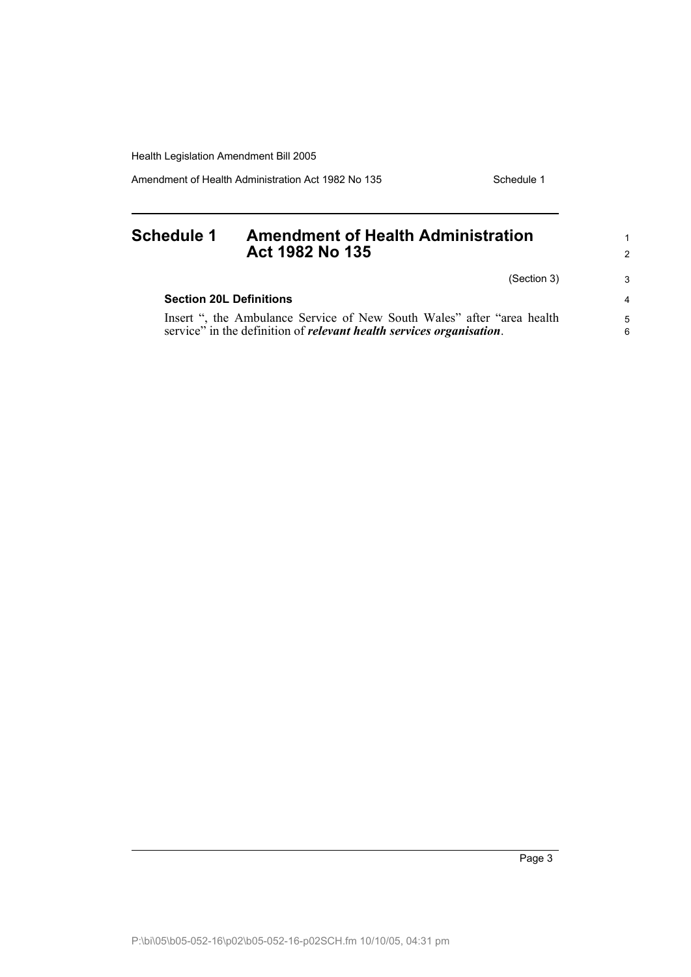Amendment of Health Administration Act 1982 No 135

#### **Schedule 1 Amendment of Health Administration Act 1982 No 135** (Section 3) **Section 20L Definitions** Insert ", the Ambulance Service of New South Wales" after "area health service" in the definition of *relevant health services organisation*. 1 2 3 4 5 6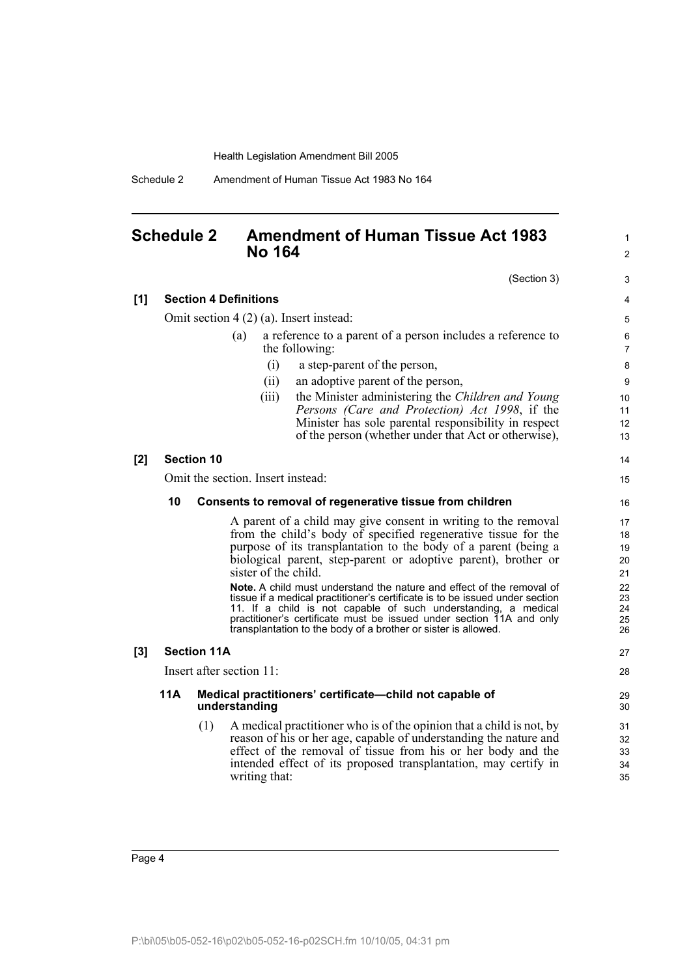Schedule 2 Amendment of Human Tissue Act 1983 No 164

## **Schedule 2 Amendment of Human Tissue Act 1983 No 164**

1 2

|     |                          |                    |                                   | (Section 3)                                                                                                                                                                                                                                                                  | 3                          |
|-----|--------------------------|--------------------|-----------------------------------|------------------------------------------------------------------------------------------------------------------------------------------------------------------------------------------------------------------------------------------------------------------------------|----------------------------|
| [1] |                          |                    | <b>Section 4 Definitions</b>      |                                                                                                                                                                                                                                                                              | 4                          |
|     |                          |                    |                                   | Omit section $4(2)(a)$ . Insert instead:                                                                                                                                                                                                                                     | $\mathbf 5$                |
|     |                          |                    | (a)                               | a reference to a parent of a person includes a reference to<br>the following:                                                                                                                                                                                                | 6<br>$\overline{7}$        |
|     |                          |                    | (i)                               | a step-parent of the person,                                                                                                                                                                                                                                                 | 8                          |
|     |                          |                    | (ii)                              | an adoptive parent of the person,                                                                                                                                                                                                                                            | 9                          |
|     |                          |                    | (iii)                             | the Minister administering the Children and Young<br>Persons (Care and Protection) Act 1998, if the                                                                                                                                                                          | 10<br>11                   |
|     |                          |                    |                                   | Minister has sole parental responsibility in respect<br>of the person (whether under that Act or otherwise),                                                                                                                                                                 | 12<br>13                   |
| [2] |                          | <b>Section 10</b>  |                                   |                                                                                                                                                                                                                                                                              | 14                         |
|     |                          |                    | Omit the section. Insert instead: |                                                                                                                                                                                                                                                                              | 15                         |
|     | 10                       |                    |                                   | Consents to removal of regenerative tissue from children                                                                                                                                                                                                                     | 16                         |
|     |                          |                    |                                   | A parent of a child may give consent in writing to the removal                                                                                                                                                                                                               | 17                         |
|     |                          |                    |                                   | from the child's body of specified regenerative tissue for the                                                                                                                                                                                                               | 18                         |
|     |                          |                    |                                   | purpose of its transplantation to the body of a parent (being a<br>biological parent, step-parent or adoptive parent), brother or                                                                                                                                            | 19<br>20                   |
|     |                          |                    | sister of the child.              |                                                                                                                                                                                                                                                                              | 21                         |
|     |                          |                    |                                   | Note. A child must understand the nature and effect of the removal of                                                                                                                                                                                                        | 22                         |
|     |                          |                    |                                   | tissue if a medical practitioner's certificate is to be issued under section                                                                                                                                                                                                 | 23                         |
|     |                          |                    |                                   | 11. If a child is not capable of such understanding, a medical<br>practitioner's certificate must be issued under section 11A and only                                                                                                                                       | 24<br>25                   |
|     |                          |                    |                                   | transplantation to the body of a brother or sister is allowed.                                                                                                                                                                                                               | 26                         |
| [3] |                          | <b>Section 11A</b> |                                   |                                                                                                                                                                                                                                                                              | 27                         |
|     | Insert after section 11: |                    |                                   |                                                                                                                                                                                                                                                                              |                            |
|     | <b>11A</b>               |                    | understanding                     | Medical practitioners' certificate—child not capable of                                                                                                                                                                                                                      | 29<br>30                   |
|     |                          | (1)                | writing that:                     | A medical practitioner who is of the opinion that a child is not, by<br>reason of his or her age, capable of understanding the nature and<br>effect of the removal of tissue from his or her body and the<br>intended effect of its proposed transplantation, may certify in | 31<br>32<br>33<br>34<br>35 |
|     |                          |                    |                                   |                                                                                                                                                                                                                                                                              |                            |

P:\bi\05\b05-052-16\p02\b05-052-16-p02SCH.fm 10/10/05, 04:31 pm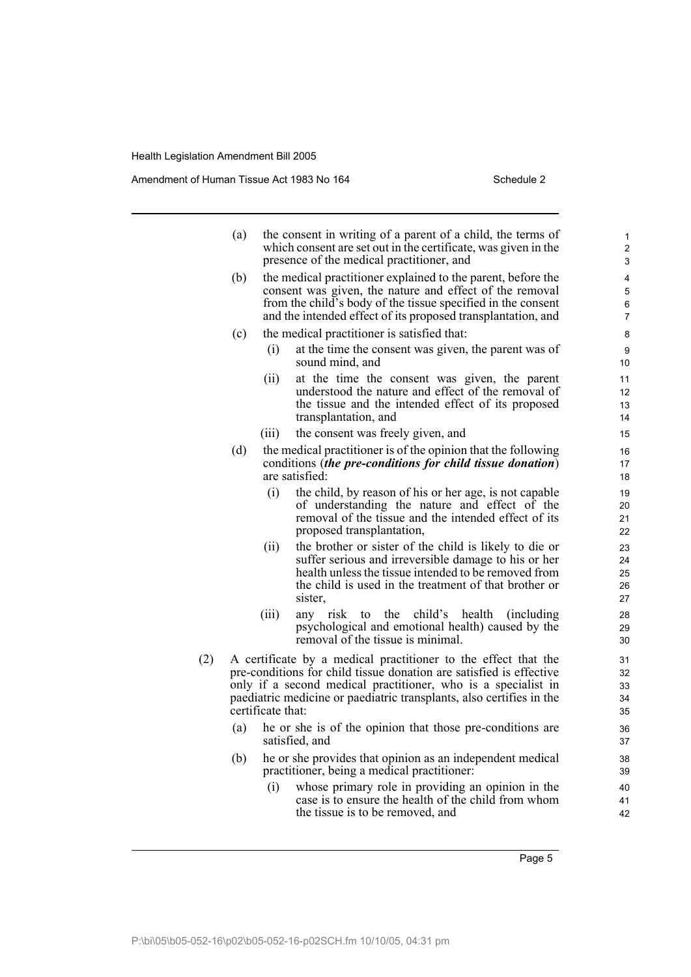Amendment of Human Tissue Act 1983 No 164 Schedule 2

|     | (a)                                                                                                                                                                                                                                                                                                 |       | the consent in writing of a parent of a child, the terms of<br>which consent are set out in the certificate, was given in the<br>presence of the medical practitioner, and                                                                              | $\mathbf{1}$<br>$\overline{c}$<br>3        |  |
|-----|-----------------------------------------------------------------------------------------------------------------------------------------------------------------------------------------------------------------------------------------------------------------------------------------------------|-------|---------------------------------------------------------------------------------------------------------------------------------------------------------------------------------------------------------------------------------------------------------|--------------------------------------------|--|
|     | (b)                                                                                                                                                                                                                                                                                                 |       | the medical practitioner explained to the parent, before the<br>consent was given, the nature and effect of the removal<br>from the child's body of the tissue specified in the consent<br>and the intended effect of its proposed transplantation, and | $\overline{\mathbf{4}}$<br>5<br>$\,6$<br>7 |  |
|     | (c)                                                                                                                                                                                                                                                                                                 |       | the medical practitioner is satisfied that:                                                                                                                                                                                                             | 8                                          |  |
|     |                                                                                                                                                                                                                                                                                                     | (i)   | at the time the consent was given, the parent was of<br>sound mind, and                                                                                                                                                                                 | $\boldsymbol{9}$<br>10                     |  |
|     |                                                                                                                                                                                                                                                                                                     | (ii)  | at the time the consent was given, the parent<br>understood the nature and effect of the removal of<br>the tissue and the intended effect of its proposed<br>transplantation, and                                                                       | 11<br>12<br>13<br>14                       |  |
|     |                                                                                                                                                                                                                                                                                                     | (iii) | the consent was freely given, and                                                                                                                                                                                                                       | 15                                         |  |
|     | (d)                                                                                                                                                                                                                                                                                                 |       | the medical practitioner is of the opinion that the following<br>conditions (the pre-conditions for child tissue donation)<br>are satisfied:                                                                                                            | 16<br>17<br>18                             |  |
|     |                                                                                                                                                                                                                                                                                                     | (i)   | the child, by reason of his or her age, is not capable<br>of understanding the nature and effect of the<br>removal of the tissue and the intended effect of its<br>proposed transplantation,                                                            | 19<br>20<br>21<br>22                       |  |
|     |                                                                                                                                                                                                                                                                                                     | (ii)  | the brother or sister of the child is likely to die or<br>suffer serious and irreversible damage to his or her<br>health unless the tissue intended to be removed from<br>the child is used in the treatment of that brother or<br>sister,              | 23<br>24<br>25<br>26<br>27                 |  |
|     |                                                                                                                                                                                                                                                                                                     | (iii) | child's health<br>any risk to the<br>(including)<br>psychological and emotional health) caused by the<br>removal of the tissue is minimal.                                                                                                              | 28<br>29<br>30                             |  |
| (2) | A certificate by a medical practitioner to the effect that the<br>pre-conditions for child tissue donation are satisfied is effective<br>only if a second medical practitioner, who is a specialist in<br>paediatric medicine or paediatric transplants, also certifies in the<br>certificate that: |       |                                                                                                                                                                                                                                                         |                                            |  |
|     | (a)                                                                                                                                                                                                                                                                                                 |       | he or she is of the opinion that those pre-conditions are<br>satisfied, and                                                                                                                                                                             | 36<br>37                                   |  |
|     | (b)                                                                                                                                                                                                                                                                                                 |       | he or she provides that opinion as an independent medical<br>practitioner, being a medical practitioner:                                                                                                                                                | 38<br>39                                   |  |

 $(i)$  whose primary role in providing an opinion in the case is to ensure the health of the child from whom the tissue is to be removed, and

Page 5

40 41 42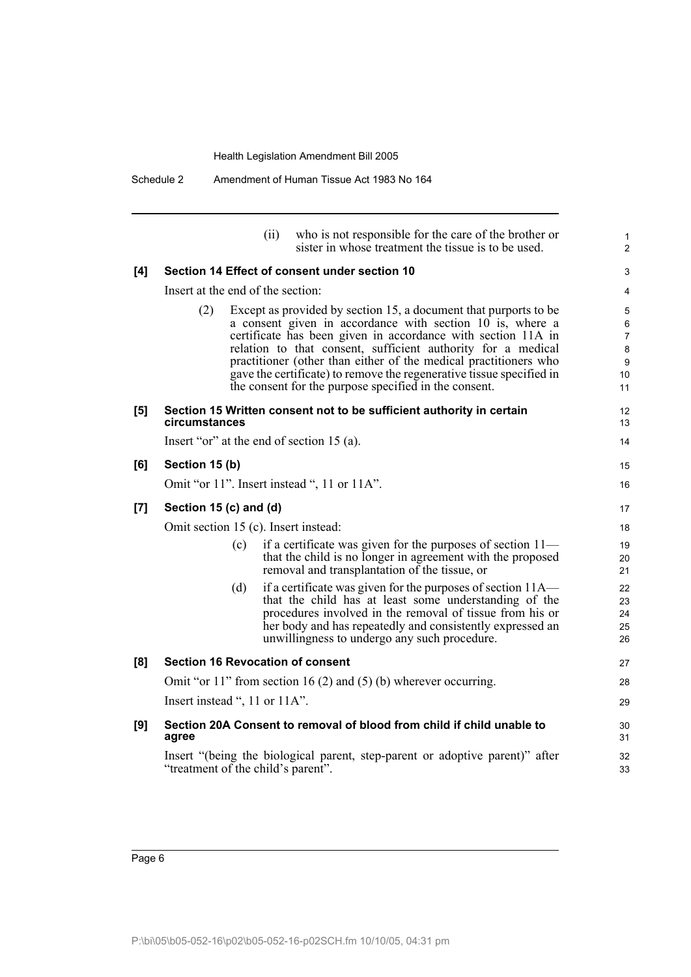| Schedule 2 |  | Amendment of Human Tissue Act 1983 No 164 |
|------------|--|-------------------------------------------|
|------------|--|-------------------------------------------|

(ii) who is not responsible for the care of the brother or sister in whose treatment the tissue is to be used. **[4] Section 14 Effect of consent under section 10** Insert at the end of the section: (2) Except as provided by section 15, a document that purports to be a consent given in accordance with section 10 is, where a certificate has been given in accordance with section 11A in relation to that consent, sufficient authority for a medical practitioner (other than either of the medical practitioners who gave the certificate) to remove the regenerative tissue specified in the consent for the purpose specified in the consent. **[5] Section 15 Written consent not to be sufficient authority in certain circumstances** Insert "or" at the end of section 15 (a). **[6] Section 15 (b)** Omit "or 11". Insert instead ", 11 or 11A". **[7] Section 15 (c) and (d)** Omit section 15 (c). Insert instead: (c) if a certificate was given for the purposes of section 11 that the child is no longer in agreement with the proposed removal and transplantation of the tissue, or (d) if a certificate was given for the purposes of section 11A that the child has at least some understanding of the procedures involved in the removal of tissue from his or her body and has repeatedly and consistently expressed an unwillingness to undergo any such procedure. **[8] Section 16 Revocation of consent** Omit "or 11" from section 16 (2) and (5) (b) wherever occurring. Insert instead ", 11 or 11A". **[9] Section 20A Consent to removal of blood from child if child unable to agree** Insert "(being the biological parent, step-parent or adoptive parent)" after "treatment of the child's parent". 1  $\overline{2}$ 3 4 5 6 7 8 9 10 11 12 13 14 15 16 17 18 19 20 21  $22$ 23  $24$ 25 26 27 28 29 30 31 32 33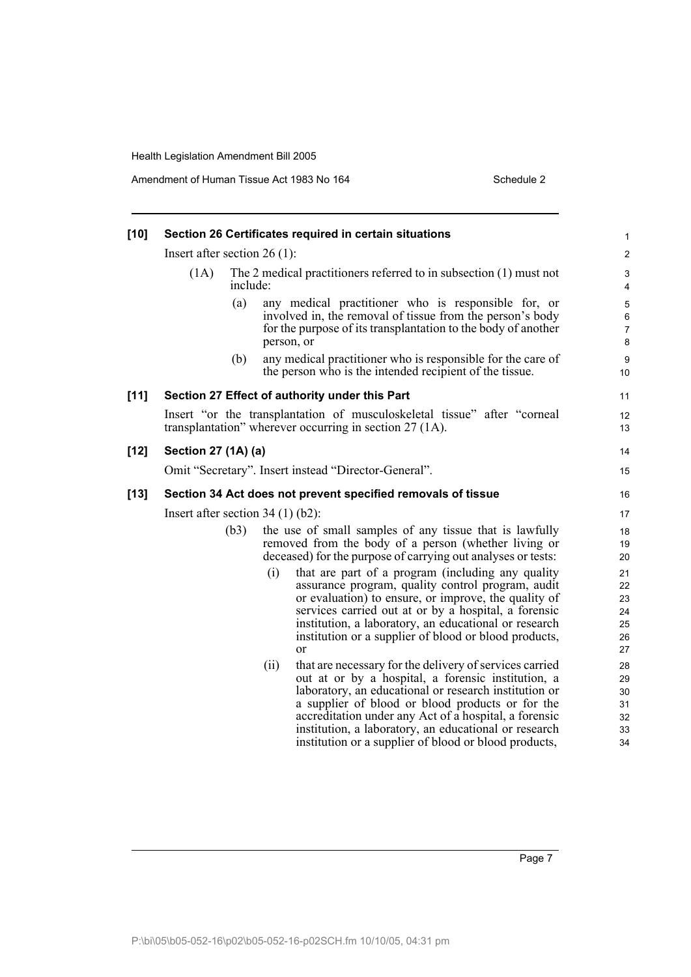| $[10]$ |                                                                                                                                     |          |             | Section 26 Certificates required in certain situations                                                                                                                                                                                                                                                                                                                                                                                                                                                                                                                                                                                                                                                                                                             | 1                                                                                |  |
|--------|-------------------------------------------------------------------------------------------------------------------------------------|----------|-------------|--------------------------------------------------------------------------------------------------------------------------------------------------------------------------------------------------------------------------------------------------------------------------------------------------------------------------------------------------------------------------------------------------------------------------------------------------------------------------------------------------------------------------------------------------------------------------------------------------------------------------------------------------------------------------------------------------------------------------------------------------------------------|----------------------------------------------------------------------------------|--|
|        | Insert after section $26(1)$ :                                                                                                      |          |             |                                                                                                                                                                                                                                                                                                                                                                                                                                                                                                                                                                                                                                                                                                                                                                    | $\overline{\mathbf{c}}$                                                          |  |
|        | (1A)                                                                                                                                | include: |             | The 2 medical practitioners referred to in subsection $(1)$ must not                                                                                                                                                                                                                                                                                                                                                                                                                                                                                                                                                                                                                                                                                               | $\mathsf 3$<br>4                                                                 |  |
|        |                                                                                                                                     | (a)      | person, or  | any medical practitioner who is responsible for, or<br>involved in, the removal of tissue from the person's body<br>for the purpose of its transplantation to the body of another                                                                                                                                                                                                                                                                                                                                                                                                                                                                                                                                                                                  | 5<br>$\,6$<br>7<br>8                                                             |  |
|        |                                                                                                                                     | (b)      |             | any medical practitioner who is responsible for the care of<br>the person who is the intended recipient of the tissue.                                                                                                                                                                                                                                                                                                                                                                                                                                                                                                                                                                                                                                             | 9<br>10                                                                          |  |
| $[11]$ |                                                                                                                                     |          |             | Section 27 Effect of authority under this Part                                                                                                                                                                                                                                                                                                                                                                                                                                                                                                                                                                                                                                                                                                                     | 11                                                                               |  |
|        | Insert "or the transplantation of musculoskeletal tissue" after "corneal<br>transplantation" wherever occurring in section 27 (1A). |          |             |                                                                                                                                                                                                                                                                                                                                                                                                                                                                                                                                                                                                                                                                                                                                                                    |                                                                                  |  |
| $[12]$ | Section 27 (1A) (a)                                                                                                                 |          |             |                                                                                                                                                                                                                                                                                                                                                                                                                                                                                                                                                                                                                                                                                                                                                                    | 14                                                                               |  |
|        |                                                                                                                                     |          |             | Omit "Secretary". Insert instead "Director-General".                                                                                                                                                                                                                                                                                                                                                                                                                                                                                                                                                                                                                                                                                                               | 15                                                                               |  |
| $[13]$ | Section 34 Act does not prevent specified removals of tissue                                                                        |          |             |                                                                                                                                                                                                                                                                                                                                                                                                                                                                                                                                                                                                                                                                                                                                                                    |                                                                                  |  |
|        | Insert after section $34(1)(b2)$ :                                                                                                  |          |             |                                                                                                                                                                                                                                                                                                                                                                                                                                                                                                                                                                                                                                                                                                                                                                    |                                                                                  |  |
|        |                                                                                                                                     | (b3)     |             | the use of small samples of any tissue that is lawfully<br>removed from the body of a person (whether living or<br>deceased) for the purpose of carrying out analyses or tests:                                                                                                                                                                                                                                                                                                                                                                                                                                                                                                                                                                                    | 18<br>19<br>20                                                                   |  |
|        |                                                                                                                                     |          | (i)<br>(ii) | that are part of a program (including any quality<br>assurance program, quality control program, audit<br>or evaluation) to ensure, or improve, the quality of<br>services carried out at or by a hospital, a forensic<br>institution, a laboratory, an educational or research<br>institution or a supplier of blood or blood products,<br><sub>or</sub><br>that are necessary for the delivery of services carried<br>out at or by a hospital, a forensic institution, a<br>laboratory, an educational or research institution or<br>a supplier of blood or blood products or for the<br>accreditation under any Act of a hospital, a forensic<br>institution, a laboratory, an educational or research<br>institution or a supplier of blood or blood products, | 21<br>22<br>23<br>24<br>25<br>26<br>27<br>28<br>29<br>30<br>31<br>32<br>33<br>34 |  |
|        |                                                                                                                                     |          |             |                                                                                                                                                                                                                                                                                                                                                                                                                                                                                                                                                                                                                                                                                                                                                                    |                                                                                  |  |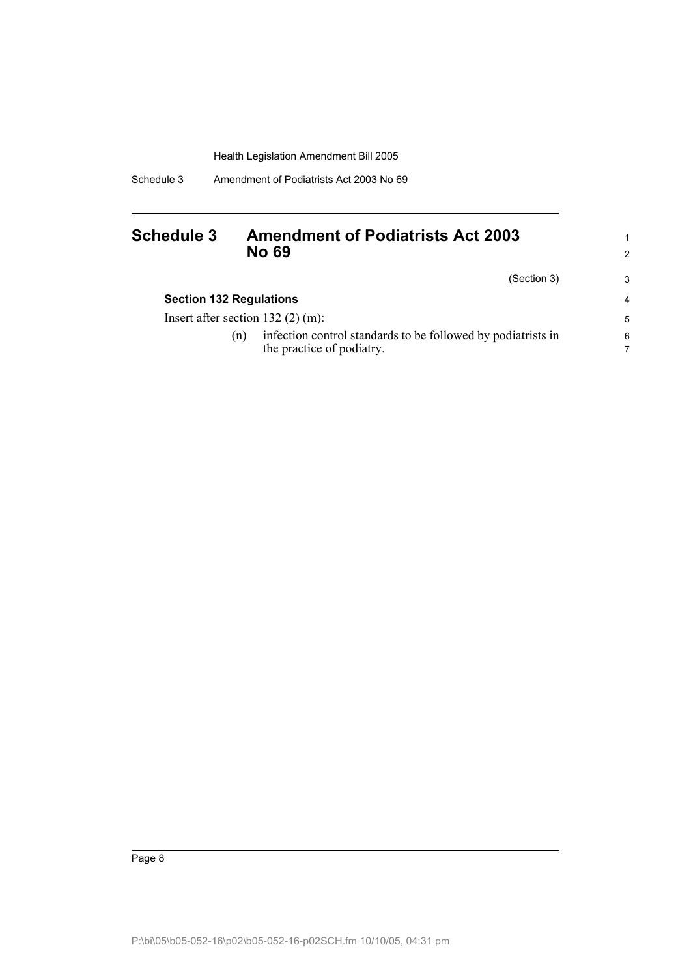Schedule 3 Amendment of Podiatrists Act 2003 No 69

## **Schedule 3 Amendment of Podiatrists Act 2003 No 69**

(Section 3)

1 2

3

| Section 132 Regulations                                                                   |    |  |  |
|-------------------------------------------------------------------------------------------|----|--|--|
| Insert after section $132(2)$ (m):                                                        | -5 |  |  |
| infection control standards to be followed by podiatrists in<br>the practice of podiatry. | 6  |  |  |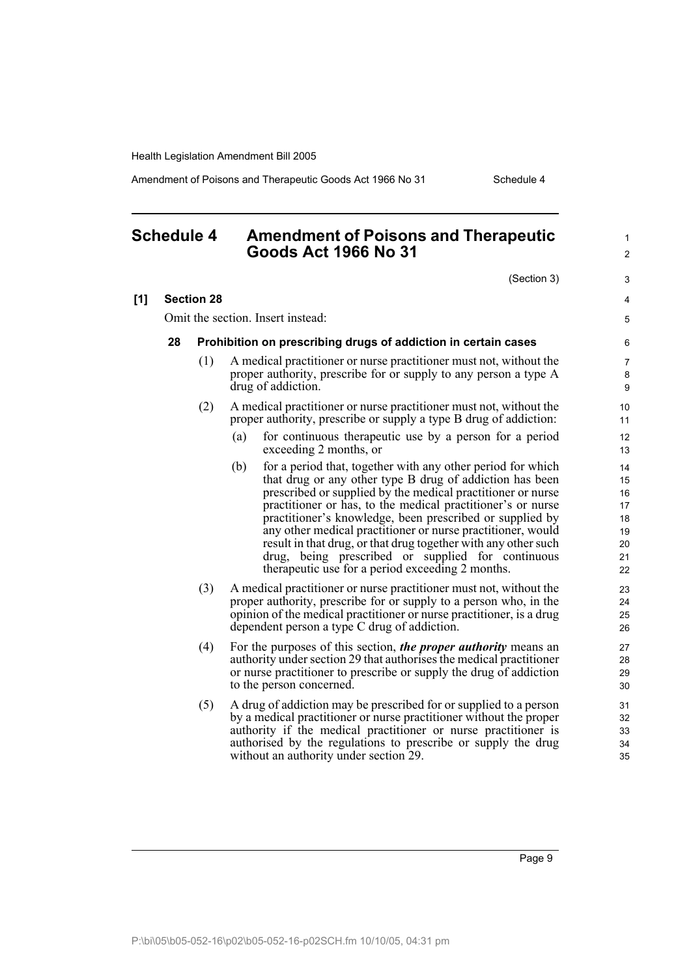Amendment of Poisons and Therapeutic Goods Act 1966 No 31 Schedule 4

## **Schedule 4 Amendment of Poisons and Therapeutic Goods Act 1966 No 31**

(Section 3)

1  $\mathfrak{p}$ 

3 4 5

#### **[1] Section 28**

Omit the section. Insert instead:

#### **28 Prohibition on prescribing drugs of addiction in certain cases**

- (1) A medical practitioner or nurse practitioner must not, without the proper authority, prescribe for or supply to any person a type A drug of addiction.
- (2) A medical practitioner or nurse practitioner must not, without the proper authority, prescribe or supply a type B drug of addiction:
	- (a) for continuous therapeutic use by a person for a period exceeding 2 months, or
	- (b) for a period that, together with any other period for which that drug or any other type B drug of addiction has been prescribed or supplied by the medical practitioner or nurse practitioner or has, to the medical practitioner's or nurse practitioner's knowledge, been prescribed or supplied by any other medical practitioner or nurse practitioner, would result in that drug, or that drug together with any other such drug, being prescribed or supplied for continuous therapeutic use for a period exceeding 2 months.
- (3) A medical practitioner or nurse practitioner must not, without the proper authority, prescribe for or supply to a person who, in the opinion of the medical practitioner or nurse practitioner, is a drug dependent person a type C drug of addiction.
- (4) For the purposes of this section, *the proper authority* means an authority under section 29 that authorises the medical practitioner or nurse practitioner to prescribe or supply the drug of addiction to the person concerned.
- (5) A drug of addiction may be prescribed for or supplied to a person by a medical practitioner or nurse practitioner without the proper authority if the medical practitioner or nurse practitioner is authorised by the regulations to prescribe or supply the drug without an authority under section 29.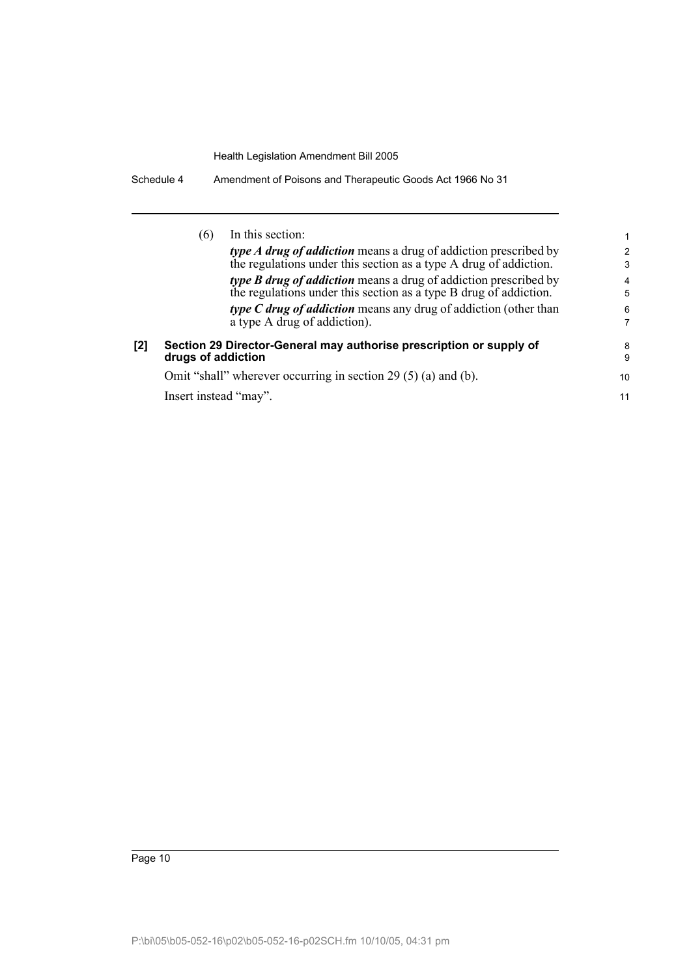Schedule 4 Amendment of Poisons and Therapeutic Goods Act 1966 No 31

|     | (6)                                                            | In this section:                                                                                                                             | 1      |
|-----|----------------------------------------------------------------|----------------------------------------------------------------------------------------------------------------------------------------------|--------|
|     |                                                                | <i>type A drug of addiction</i> means a drug of addiction prescribed by<br>the regulations under this section as a type A drug of addiction. | 2<br>3 |
|     |                                                                | type B drug of addiction means a drug of addiction prescribed by<br>the regulations under this section as a type B drug of addiction.        | 4<br>5 |
|     |                                                                | <i>type C drug of addiction</i> means any drug of addiction (other than<br>a type A drug of addiction).                                      | 6<br>7 |
| [2] | drugs of addiction                                             | Section 29 Director-General may authorise prescription or supply of                                                                          | 8<br>9 |
|     | Omit "shall" wherever occurring in section 29 (5) (a) and (b). |                                                                                                                                              |        |
|     | Insert instead "may".                                          |                                                                                                                                              | 11     |
|     |                                                                |                                                                                                                                              |        |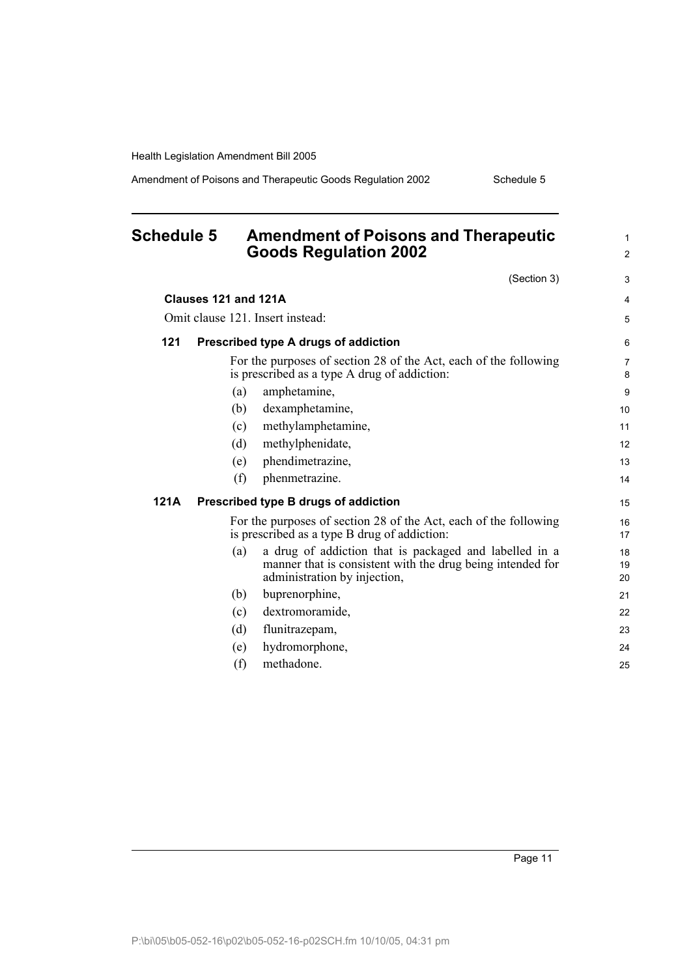Amendment of Poisons and Therapeutic Goods Regulation 2002 Schedule 5

| <b>Schedule 5</b> |                      | <b>Amendment of Poisons and Therapeutic</b><br><b>Goods Regulation 2002</b>                                                                          | 1<br>$\overline{2}$ |
|-------------------|----------------------|------------------------------------------------------------------------------------------------------------------------------------------------------|---------------------|
|                   |                      | (Section 3)                                                                                                                                          | 3                   |
|                   | Clauses 121 and 121A |                                                                                                                                                      | 4                   |
|                   |                      | Omit clause 121. Insert instead:                                                                                                                     | 5                   |
| 121               |                      | Prescribed type A drugs of addiction                                                                                                                 | 6                   |
|                   |                      | For the purposes of section 28 of the Act, each of the following<br>is prescribed as a type A drug of addiction:                                     | 7<br>8              |
|                   | (a)                  | amphetamine,                                                                                                                                         | 9                   |
|                   | (b)                  | dexamphetamine,                                                                                                                                      | 10                  |
|                   | (c)                  | methylamphetamine,                                                                                                                                   | 11                  |
|                   | (d)                  | methylphenidate,                                                                                                                                     | 12                  |
|                   | (e)                  | phendimetrazine,                                                                                                                                     | 13                  |
|                   | (f)                  | phenmetrazine.                                                                                                                                       | 14                  |
| 121A              |                      | Prescribed type B drugs of addiction                                                                                                                 | 15                  |
|                   |                      | For the purposes of section 28 of the Act, each of the following<br>is prescribed as a type B drug of addiction:                                     | 16<br>17            |
|                   | (a)                  | a drug of addiction that is packaged and labelled in a<br>manner that is consistent with the drug being intended for<br>administration by injection, | 18<br>19<br>20      |
|                   | (b)                  | buprenorphine,                                                                                                                                       | 21                  |
|                   | (c)                  | dextromoramide,                                                                                                                                      | 22                  |
|                   | (d)                  | flunitrazepam,                                                                                                                                       | 23                  |
|                   | (e)                  | hydromorphone,                                                                                                                                       | 24                  |
|                   | (f)                  | methadone.                                                                                                                                           | 25                  |
|                   |                      |                                                                                                                                                      |                     |